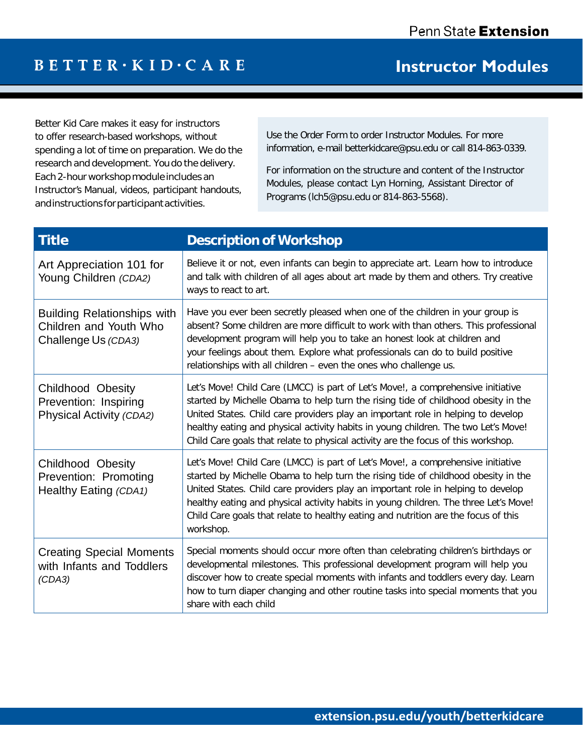## $B E T T E R \cdot K I D \cdot C A R E$

## **Instructor Modules**

Better Kid Care makes it easy for instructors to offer research-based workshops, without spending a lot of time on preparation. We do the research and development. You do the delivery. Each 2-hour workshop module includes an Instructor's Manual, videos, participant handouts, andinstructions forparticipantactivities.

Use the Order Form to order Instructor Modules. For more information, e-mail [betterkidcare@psu.edu](mailto:betterkidcare@psu.edu) or call 814-863-0339.

For information on the structure and content of the Instructor Modules, please contact Lyn Horning, Assistant Director of Programs [\(lch5@psu.edu](mailto:(lch5@psu.edu) or 814-863-5568).

| <b>Title</b>                                                                        | <b>Description of Workshop</b>                                                                                                                                                                                                                                                                                                                                                                                                                        |
|-------------------------------------------------------------------------------------|-------------------------------------------------------------------------------------------------------------------------------------------------------------------------------------------------------------------------------------------------------------------------------------------------------------------------------------------------------------------------------------------------------------------------------------------------------|
| Art Appreciation 101 for<br>Young Children (CDA2)                                   | Believe it or not, even infants can begin to appreciate art. Learn how to introduce<br>and talk with children of all ages about art made by them and others. Try creative<br>ways to react to art.                                                                                                                                                                                                                                                    |
| <b>Building Relationships with</b><br>Children and Youth Who<br>Challenge Us (CDA3) | Have you ever been secretly pleased when one of the children in your group is<br>absent? Some children are more difficult to work with than others. This professional<br>development program will help you to take an honest look at children and<br>your feelings about them. Explore what professionals can do to build positive<br>relationships with all children - even the ones who challenge us.                                               |
| <b>Childhood Obesity</b><br>Prevention: Inspiring<br>Physical Activity (CDA2)       | Let's Move! Child Care (LMCC) is part of Let's Move!, a comprehensive initiative<br>started by Michelle Obama to help turn the rising tide of childhood obesity in the<br>United States. Child care providers play an important role in helping to develop<br>healthy eating and physical activity habits in young children. The two Let's Move!<br>Child Care goals that relate to physical activity are the focus of this workshop.                 |
| <b>Childhood Obesity</b><br>Prevention: Promoting<br>Healthy Eating (CDA1)          | Let's Move! Child Care (LMCC) is part of Let's Move!, a comprehensive initiative<br>started by Michelle Obama to help turn the rising tide of childhood obesity in the<br>United States. Child care providers play an important role in helping to develop<br>healthy eating and physical activity habits in young children. The three Let's Move!<br>Child Care goals that relate to healthy eating and nutrition are the focus of this<br>workshop. |
| <b>Creating Special Moments</b><br>with Infants and Toddlers<br>(CDA3)              | Special moments should occur more often than celebrating children's birthdays or<br>developmental milestones. This professional development program will help you<br>discover how to create special moments with infants and toddlers every day. Learn<br>how to turn diaper changing and other routine tasks into special moments that you<br>share with each child                                                                                  |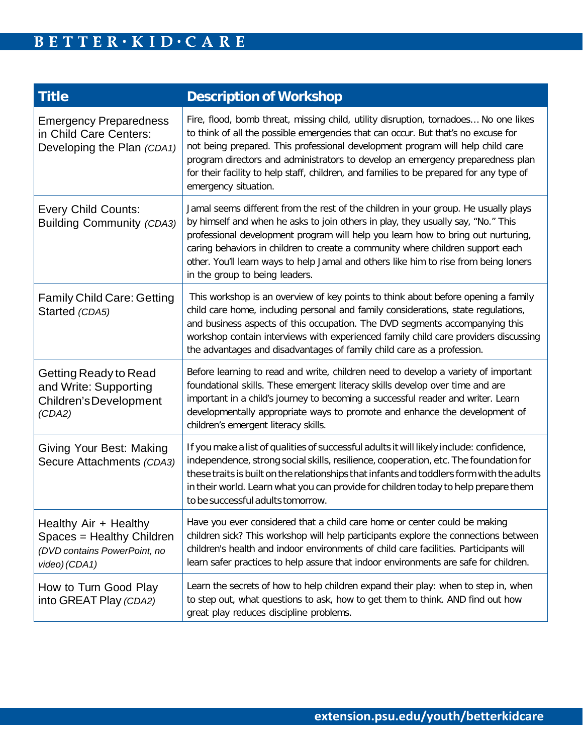| <b>Title</b>                                                                                        | <b>Description of Workshop</b>                                                                                                                                                                                                                                                                                                                                                                                                                                          |
|-----------------------------------------------------------------------------------------------------|-------------------------------------------------------------------------------------------------------------------------------------------------------------------------------------------------------------------------------------------------------------------------------------------------------------------------------------------------------------------------------------------------------------------------------------------------------------------------|
| <b>Emergency Preparedness</b><br>in Child Care Centers:<br>Developing the Plan (CDA1)               | Fire, flood, bomb threat, missing child, utility disruption, tornadoes No one likes<br>to think of all the possible emergencies that can occur. But that's no excuse for<br>not being prepared. This professional development program will help child care<br>program directors and administrators to develop an emergency preparedness plan<br>for their facility to help staff, children, and families to be prepared for any type of<br>emergency situation.         |
| <b>Every Child Counts:</b><br><b>Building Community (CDA3)</b>                                      | Jamal seems different from the rest of the children in your group. He usually plays<br>by himself and when he asks to join others in play, they usually say, "No." This<br>professional development program will help you learn how to bring out nurturing,<br>caring behaviors in children to create a community where children support each<br>other. You'll learn ways to help Jamal and others like him to rise from being loners<br>in the group to being leaders. |
| <b>Family Child Care: Getting</b><br>Started (CDA5)                                                 | This workshop is an overview of key points to think about before opening a family<br>child care home, including personal and family considerations, state regulations,<br>and business aspects of this occupation. The DVD segments accompanying this<br>workshop contain interviews with experienced family child care providers discussing<br>the advantages and disadvantages of family child care as a profession.                                                  |
| Getting Ready to Read<br>and Write: Supporting<br>Children's Development<br>(CDA2)                  | Before learning to read and write, children need to develop a variety of important<br>foundational skills. These emergent literacy skills develop over time and are<br>important in a child's journey to becoming a successful reader and writer. Learn<br>developmentally appropriate ways to promote and enhance the development of<br>children's emergent literacy skills.                                                                                           |
| Giving Your Best: Making<br>Secure Attachments (CDA3)                                               | If you make a list of qualities of successful adults it will likely include: confidence,<br>independence, strong social skills, resilience, cooperation, etc. The foundation for<br>these traits is built on the relationships that infants and toddlers form with the adults<br>in their world. Learn what you can provide for children today to help prepare them<br>to be successful adults tomorrow.                                                                |
| Healthy Air + Healthy<br>Spaces = Healthy Children<br>(DVD contains PowerPoint, no<br>video) (CDA1) | Have you ever considered that a child care home or center could be making<br>children sick? This workshop will help participants explore the connections between<br>children's health and indoor environments of child care facilities. Participants will<br>learn safer practices to help assure that indoor environments are safe for children.                                                                                                                       |
| How to Turn Good Play<br>into GREAT Play (CDA2)                                                     | Learn the secrets of how to help children expand their play: when to step in, when<br>to step out, what questions to ask, how to get them to think. AND find out how<br>great play reduces discipline problems.                                                                                                                                                                                                                                                         |